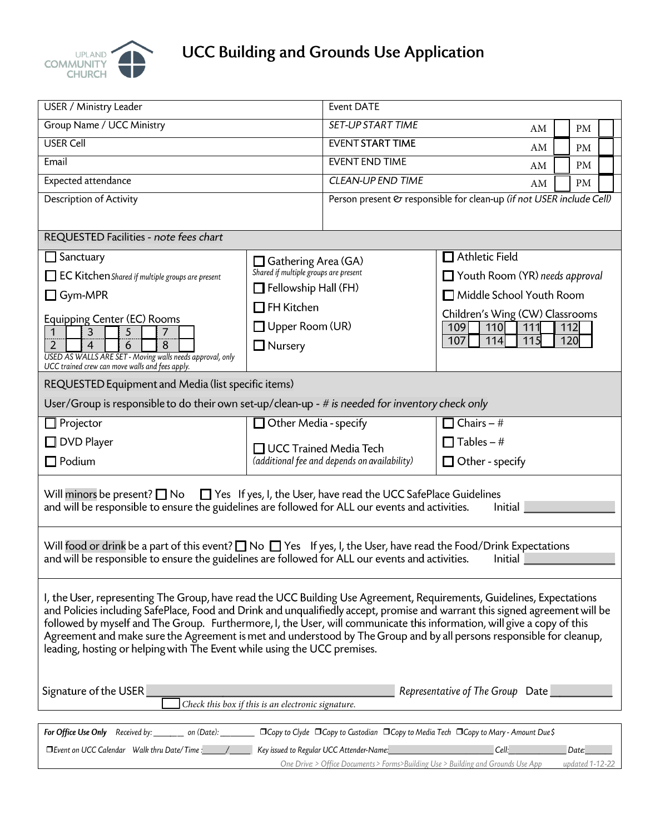

# **UCC Building and Grounds Use Application**

| USER / Ministry Leader                                                                                                                                                                                                                                                                                                                                                                                                        |                                                                                                           | <b>Event DATE</b>                                                    |                                 |     |                 |  |  |
|-------------------------------------------------------------------------------------------------------------------------------------------------------------------------------------------------------------------------------------------------------------------------------------------------------------------------------------------------------------------------------------------------------------------------------|-----------------------------------------------------------------------------------------------------------|----------------------------------------------------------------------|---------------------------------|-----|-----------------|--|--|
| Group Name / UCC Ministry                                                                                                                                                                                                                                                                                                                                                                                                     |                                                                                                           | <b>SET-UP START TIME</b><br>PM<br>AM                                 |                                 |     |                 |  |  |
| <b>USER Cell</b>                                                                                                                                                                                                                                                                                                                                                                                                              |                                                                                                           | <b>EVENT START TIME</b><br>AM<br><b>PM</b>                           |                                 |     |                 |  |  |
| Email                                                                                                                                                                                                                                                                                                                                                                                                                         |                                                                                                           | <b>EVENT END TIME</b>                                                | PM<br>AM                        |     |                 |  |  |
| Expected attendance                                                                                                                                                                                                                                                                                                                                                                                                           |                                                                                                           | <b>CLEAN-UP END TIME</b><br>PM<br>AM                                 |                                 |     |                 |  |  |
| Description of Activity                                                                                                                                                                                                                                                                                                                                                                                                       |                                                                                                           | Person present & responsible for clean-up (if not USER include Cell) |                                 |     |                 |  |  |
|                                                                                                                                                                                                                                                                                                                                                                                                                               |                                                                                                           |                                                                      |                                 |     |                 |  |  |
| REQUESTED Facilities - note fees chart                                                                                                                                                                                                                                                                                                                                                                                        |                                                                                                           |                                                                      |                                 |     |                 |  |  |
| $\Box$ Sanctuary                                                                                                                                                                                                                                                                                                                                                                                                              | Gathering Area (GA)<br>Shared if multiple groups are present<br>Fellowship Hall (FH)<br>$\Box$ FH Kitchen |                                                                      | $\Box$ Athletic Field           |     |                 |  |  |
| <b>THEC Kitchen</b> Shared if multiple groups are present                                                                                                                                                                                                                                                                                                                                                                     |                                                                                                           |                                                                      | Youth Room (YR) needs approval  |     |                 |  |  |
| $\Box$ Gym-MPR                                                                                                                                                                                                                                                                                                                                                                                                                |                                                                                                           |                                                                      | Middle School Youth Room        |     |                 |  |  |
| Equipping Center (EC) Rooms                                                                                                                                                                                                                                                                                                                                                                                                   |                                                                                                           |                                                                      | Children's Wing (CW) Classrooms |     |                 |  |  |
| $\overline{3}$<br>5<br>1<br>7                                                                                                                                                                                                                                                                                                                                                                                                 | $\Box$ Upper Room (UR)                                                                                    |                                                                      | 109<br><b>110</b><br>111<br>112 |     |                 |  |  |
| $\overline{2}$<br>6<br>8<br>4                                                                                                                                                                                                                                                                                                                                                                                                 | $\Box$ Nursery                                                                                            |                                                                      | 107<br>$11\overline{5}$<br>114  | 120 |                 |  |  |
| USED AS WALLS ARE SET - Moving walls needs approval, only<br>UCC trained crew can move walls and fees apply.                                                                                                                                                                                                                                                                                                                  |                                                                                                           |                                                                      |                                 |     |                 |  |  |
| REQUESTED Equipment and Media (list specific items)                                                                                                                                                                                                                                                                                                                                                                           |                                                                                                           |                                                                      |                                 |     |                 |  |  |
| User/Group is responsible to do their own set-up/clean-up - $#$ is needed for inventory check only                                                                                                                                                                                                                                                                                                                            |                                                                                                           |                                                                      |                                 |     |                 |  |  |
| $\Box$ Projector                                                                                                                                                                                                                                                                                                                                                                                                              | Other Media - specify                                                                                     |                                                                      | Chairs $-$ #                    |     |                 |  |  |
| □ DVD Player                                                                                                                                                                                                                                                                                                                                                                                                                  | □ UCC Trained Media Tech<br>(additional fee and depends on availability)                                  |                                                                      | $\Box$ Tables – #               |     |                 |  |  |
| $\Box$ Podium                                                                                                                                                                                                                                                                                                                                                                                                                 |                                                                                                           |                                                                      | $\Box$ Other - specify          |     |                 |  |  |
|                                                                                                                                                                                                                                                                                                                                                                                                                               |                                                                                                           |                                                                      |                                 |     |                 |  |  |
| Will minors be present? $\Box$ No $\Box$ Yes If yes, I, the User, have read the UCC SafePlace Guidelines                                                                                                                                                                                                                                                                                                                      |                                                                                                           |                                                                      |                                 |     |                 |  |  |
| and will be responsible to ensure the guidelines are followed for ALL our events and activities.<br>Initial                                                                                                                                                                                                                                                                                                                   |                                                                                                           |                                                                      |                                 |     |                 |  |  |
|                                                                                                                                                                                                                                                                                                                                                                                                                               |                                                                                                           |                                                                      |                                 |     |                 |  |  |
| Will food or drink be a part of this event? $\Box$ No $\Box$ Yes If yes, I, the User, have read the Food/Drink Expectations                                                                                                                                                                                                                                                                                                   |                                                                                                           |                                                                      | Initial                         |     |                 |  |  |
| and will be responsible to ensure the guidelines are followed for ALL our events and activities.                                                                                                                                                                                                                                                                                                                              |                                                                                                           |                                                                      |                                 |     |                 |  |  |
| I, the User, representing The Group, have read the UCC Building Use Agreement, Requirements, Guidelines, Expectations                                                                                                                                                                                                                                                                                                         |                                                                                                           |                                                                      |                                 |     |                 |  |  |
| and Policies including SafePlace, Food and Drink and unqualifiedly accept, promise and warrant this signed agreement will be                                                                                                                                                                                                                                                                                                  |                                                                                                           |                                                                      |                                 |     |                 |  |  |
| followed by myself and The Group. Furthermore, I, the User, will communicate this information, will give a copy of this                                                                                                                                                                                                                                                                                                       |                                                                                                           |                                                                      |                                 |     |                 |  |  |
| Agreement and make sure the Agreement is met and understood by The Group and by all persons responsible for cleanup,<br>leading, hosting or helping with The Event while using the UCC premises.                                                                                                                                                                                                                              |                                                                                                           |                                                                      |                                 |     |                 |  |  |
|                                                                                                                                                                                                                                                                                                                                                                                                                               |                                                                                                           |                                                                      |                                 |     |                 |  |  |
|                                                                                                                                                                                                                                                                                                                                                                                                                               |                                                                                                           |                                                                      |                                 |     |                 |  |  |
| Signature of the USER<br>Representative of The Group Date<br>Check this box if this is an electronic signature.                                                                                                                                                                                                                                                                                                               |                                                                                                           |                                                                      |                                 |     |                 |  |  |
|                                                                                                                                                                                                                                                                                                                                                                                                                               |                                                                                                           |                                                                      |                                 |     |                 |  |  |
| For Office Use Only Received by: _____ on (Date): ________ □ Copy to Clyde □ Copy to Custodian □ Copy to Media Tech □ Copy to Mary - Amount Due \$                                                                                                                                                                                                                                                                            |                                                                                                           |                                                                      |                                 |     |                 |  |  |
| □ Event on UCC Calendar Walk thru Date/Time : / /<br>Key issued to Regular UCC Attender-Name:<br>Cell: The Contract of the Contract of the Contract of the Contract of the Contract of the Contract of the Contract of the Contract of the Contract of the Contract of the Contract of the Contract of the Contract of the Cont<br>Date:<br>One Drive: > Office Documents > Forms>Building Use > Building and Grounds Use App |                                                                                                           |                                                                      |                                 |     |                 |  |  |
|                                                                                                                                                                                                                                                                                                                                                                                                                               |                                                                                                           |                                                                      |                                 |     | updated 1-12-22 |  |  |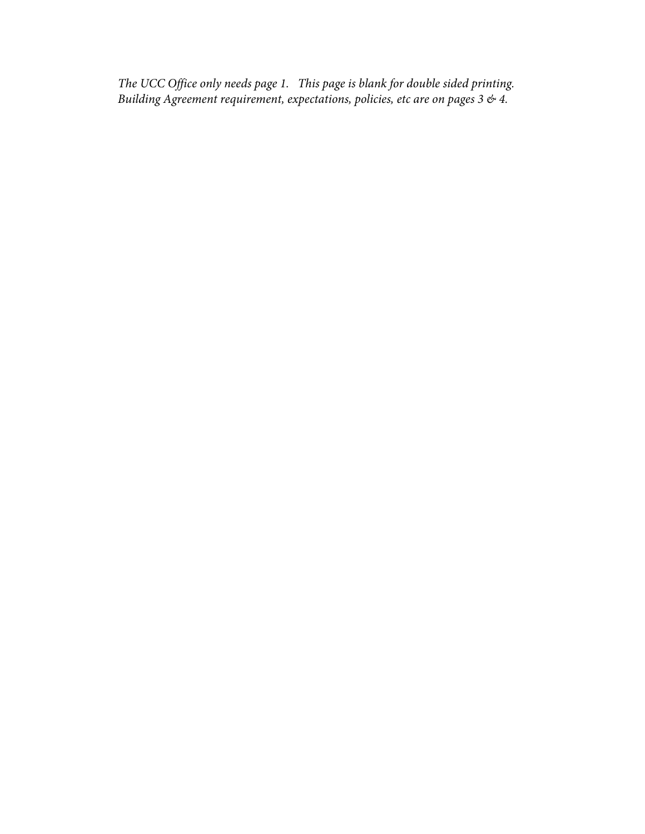*The UCC Office only needs page 1. This page is blank for double sided printing. Building Agreement requirement, expectations, policies, etc are on pages 3 & 4.*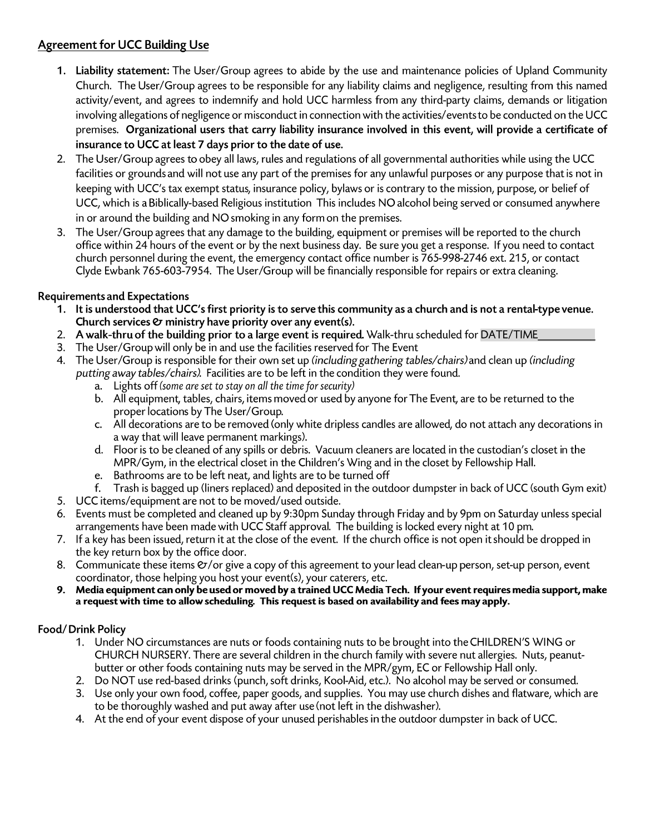## **Agreement for UCC Building Use**

- 1. Liability statement: The User/Group agrees to abide by the use and maintenance policies of Upland Community Church. The User/Group agrees to be responsible for any liability claims and negligence, resulting from this named activity/event, and agrees to indemnify and hold UCC harmless from any third-party claims, demands or litigation involving allegations of negligence or misconduct in connection with the activities/events to be conducted on the UCC premises. Organizational users that carry liability insurance involved in this event, will provide a certificate of insurance to UCC at least 7 days prior to the date of use.
- 2. The User/Group agrees to obey all laws, rules and regulations of all governmental authorities while using the UCC facilities or grounds and will not use any part of the premises for any unlawful purposes or any purpose that is not in keeping with UCC's tax exempt status, insurance policy, bylaws or is contrary to the mission, purpose, or belief of UCC, which is a Biblically-based Religious institution This includes NO alcohol being served or consumed anywhere in or around the building and NO smoking in any form on the premises.
- 3. The User/Group agrees that any damage to the building, equipment or premises will be reported to the church office within 24 hours of the event or by the next business day. Be sure you get a response. If you need to contact church personnel during the event, the emergency contact office number is 765-998-2746 ext. 215, or contact Clyde Ewbank 765-603-7954. The User/Group will be financially responsible for repairs or extra cleaning.

## **Requirements and Expectations**

- 1. It is understood that UCC's first priority is to serve this community as a church and is not a rental-type venue. Church services  $\mathfrak O$  ministry have priority over any event(s).
- 2. A walk-thru of the building prior to a large event is required. Walk-thru scheduled for DATE/TIME
- 3. The User/Group will only be in and use the facilities reserved for The Event
- 4. The User/Group is responsible for their own set up (including gathering tables/chairs) and clean up (including putting away tables/chairs). Facilities are to be left in the condition they were found.
	- a. Lights off (some are set to stay on all the time for security)
	- b. All equipment, tables, chairs, items moved or used by anyone for The Event, are to be returned to the proper locations by The User/Group.
	- c. All decorations are to be removed (only white dripless candles are allowed, do not attach any decorations in a way that will leave permanent markings).
	- d. Floor is to be cleaned of any spills or debris. Vacuum cleaners are located in the custodian's closet in the MPR/Gym, in the electrical closet in the Children's Wing and in the closet by Fellowship Hall.
	- e. Bathrooms are to be left neat, and lights are to be turned off
	- f. Trash is bagged up (liners replaced) and deposited in the outdoor dumpster in back of UCC (south Gym exit)
- 5. UCC items/equipment are not to be moved/used outside.
- 6. Events must be completed and cleaned up by 9:30pm Sunday through Friday and by 9pm on Saturday unless special arrangements have been made with UCC Staff approval. The building is locked every night at 10 pm.
- 7. If a key has been issued, return it at the close of the event. If the church office is not open it should be dropped in the key return box by the office door.
- 8. Communicate these items  $\mathcal{O}/\text{or}$  give a copy of this agreement to your lead clean-up person, set-up person, event coordinator, those helping you host your event(s), your caterers, etc.
- 9. Media equipment can only be used or moved by a trained UCC Media Tech. If your event requires media support, make a request with time to allow scheduling. This request is based on availability and fees may apply.

## Food/Drink Policy

- 1. Under NO circumstances are nuts or foods containing nuts to be brought into the CHILDREN'S WING or CHURCH NURSERY. There are several children in the church family with severe nut allergies. Nuts, peanutbutter or other foods containing nuts may be served in the MPR/gym, EC or Fellowship Hall only.
- 2. Do NOT use red-based drinks (punch, soft drinks, Kool-Aid, etc.). No alcohol may be served or consumed.
- 3. Use only your own food, coffee, paper goods, and supplies. You may use church dishes and flatware, which are to be thoroughly washed and put away after use (not left in the dishwasher).
- 4. At the end of your event dispose of your unused perishables in the outdoor dumpster in back of UCC.